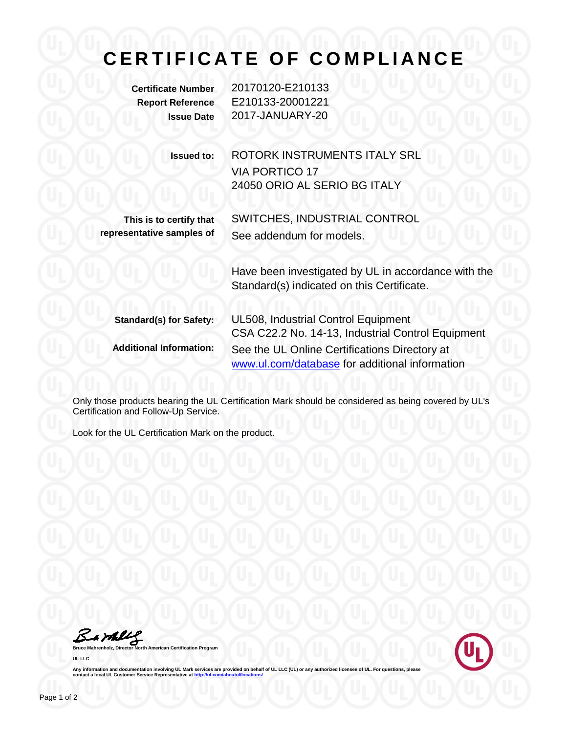## **CERTIFICATE OF COMPLIANCE**

**Certificate Number** 20170120-E210133 **Report Reference** E210133-20001221 **Issue Date** 2017-JANUARY-20

> **Issued to:** ROTORK INSTRUMENTS ITALY SRL VIA PORTICO 17 24050 ORIO AL SERIO BG ITALY

**This is to certify that representative samples of**

SWITCHES, INDUSTRIAL CONTROL See addendum for models.

Have been investigated by UL in accordance with the Standard(s) indicated on this Certificate.

| <b>Standard(s) for Safety:</b> | <b>UL508, Industrial Control Equipment</b><br>CSA C22.2 No. 14-13, Industrial Control Equipment |
|--------------------------------|-------------------------------------------------------------------------------------------------|
| <b>Additional Information:</b> | See the UL Online Certifications Directory at<br>www.ul.com/database for additional information |

Only those products bearing the UL Certification Mark should be considered as being covered by UL's Certification and Follow-Up Service.

Look for the UL Certification Mark on the product.

Barbley

**Bruce Mahrenholz, Director North American Certification Program UL LLC**



Any information and documentation involving UL Mark services are provided on behalf of UL LLC (UL) or any authorized licensee of UL. For questions, please<br>contact a local UL Customer Service Representative at <u>http://ul.co</u>